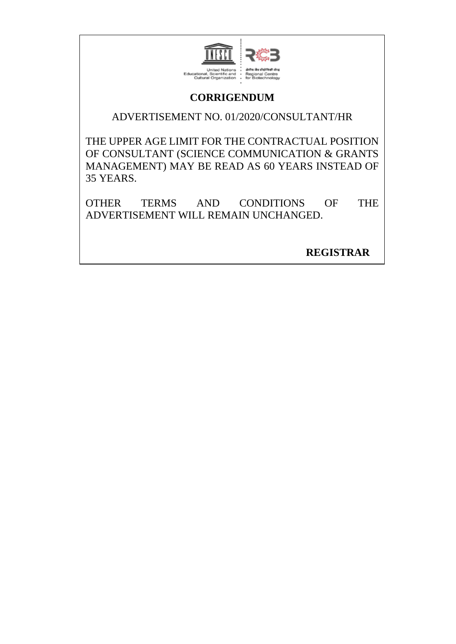

# **CORRIGENDUM**

ADVERTISEMENT NO. 01/2020/CONSULTANT/HR

THE UPPER AGE LIMIT FOR THE CONTRACTUAL POSITION OF CONSULTANT (SCIENCE COMMUNICATION & GRANTS MANAGEMENT) MAY BE READ AS 60 YEARS INSTEAD OF 35 YEARS.

OTHER TERMS AND CONDITIONS OF THE ADVERTISEMENT WILL REMAIN UNCHANGED.

**REGISTRAR**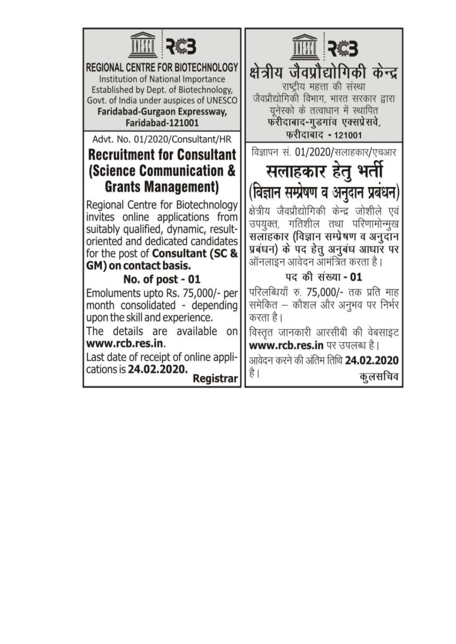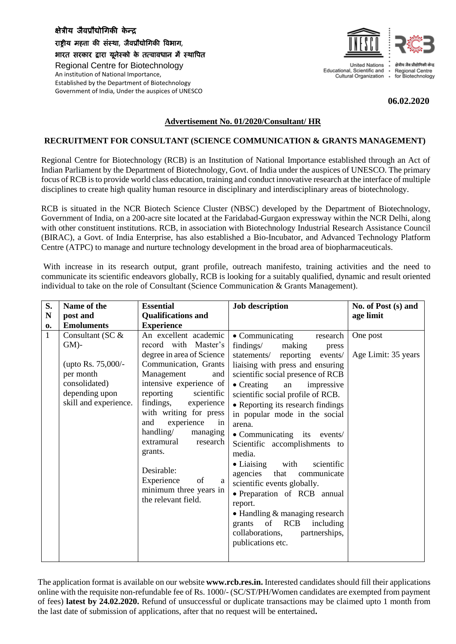# क्षेत्रीय जैवप्रौद्योगिकी केन्द

राष्ट्रीय महत्ता की संस्था, जैवप्रौद्योगिकी विभाग,

भारत सरकार द्वारा यूनेस्को के तत्वावधान में स्थावित Regional Centre for Biotechnology An institution of National Importance, Established by the Department of Biotechnology Government of India, Under the auspices of UNESCO



Cultural Organization

 **06.02.2020**

for Biotechnology

#### **Advertisement No. 01/2020/Consultant/ HR**

## **RECRUITMENT FOR CONSULTANT (SCIENCE COMMUNICATION & GRANTS MANAGEMENT)**

Regional Centre for Biotechnology (RCB) is an Institution of National Importance established through an Act of Indian Parliament by the Department of Biotechnology, Govt. of India under the auspices of UNESCO. The primary focus of RCB is to provide world class education, training and conduct innovative research at the interface of multiple disciplines to create high quality human resource in disciplinary and interdisciplinary areas of biotechnology.

RCB is situated in the NCR Biotech Science Cluster (NBSC) developed by the Department of Biotechnology, Government of India, on a 200-acre site located at the Faridabad-Gurgaon expressway within the NCR Delhi, along with other constituent institutions. RCB, in association with Biotechnology Industrial Research Assistance Council (BIRAC), a Govt. of India Enterprise, has also established a Bio-Incubator, and Advanced Technology Platform Centre (ATPC) to manage and nurture technology development in the broad area of biopharmaceuticals.

With increase in its research output, grant profile, outreach manifesto, training activities and the need to communicate its scientific endeavors globally, RCB is looking for a suitably qualified, dynamic and result oriented individual to take on the role of Consultant (Science Communication & Grants Management).

| S.           | Name of the                                                                                                                | <b>Essential</b>                                                                                                                                                                                                                                                                                                                                                                                                     | <b>Job description</b>                                                                                                                                                                                                                                                                                                                                                                                                                                                                                                                                                                                                                                                                                              | No. of Post (s) and             |
|--------------|----------------------------------------------------------------------------------------------------------------------------|----------------------------------------------------------------------------------------------------------------------------------------------------------------------------------------------------------------------------------------------------------------------------------------------------------------------------------------------------------------------------------------------------------------------|---------------------------------------------------------------------------------------------------------------------------------------------------------------------------------------------------------------------------------------------------------------------------------------------------------------------------------------------------------------------------------------------------------------------------------------------------------------------------------------------------------------------------------------------------------------------------------------------------------------------------------------------------------------------------------------------------------------------|---------------------------------|
| $\mathbf N$  | post and                                                                                                                   | <b>Qualifications and</b>                                                                                                                                                                                                                                                                                                                                                                                            |                                                                                                                                                                                                                                                                                                                                                                                                                                                                                                                                                                                                                                                                                                                     | age limit                       |
| 0.           | <b>Emoluments</b>                                                                                                          | <b>Experience</b>                                                                                                                                                                                                                                                                                                                                                                                                    |                                                                                                                                                                                                                                                                                                                                                                                                                                                                                                                                                                                                                                                                                                                     |                                 |
| $\mathbf{1}$ | Consultant (SC &<br>$GM$ )-<br>(upto Rs. 75,000/-<br>per month<br>consolidated)<br>depending upon<br>skill and experience. | An excellent academic<br>record with Master's<br>degree in area of Science<br>Communication, Grants<br>Management<br>and<br>intensive experience of<br>reporting<br>scientific<br>findings,<br>experience<br>with writing for press<br>and<br>experience<br>in<br>handling/<br>managing<br>extramural<br>research<br>grants.<br>Desirable:<br>Experience<br>of<br>a<br>minimum three years in<br>the relevant field. | • Communicating<br>research<br>findings/<br>making<br>press<br>statements/<br>reporting<br>events/<br>liaising with press and ensuring<br>scientific social presence of RCB<br>$\bullet$ Creating<br>impressive<br>an<br>scientific social profile of RCB.<br>• Reporting its research findings<br>in popular mode in the social<br>arena.<br>• Communicating its events/<br>Scientific accomplishments to<br>media.<br>$\bullet$ Liaising<br>with<br>scientific<br>agencies<br>that<br>communicate<br>scientific events globally.<br>• Preparation of RCB annual<br>report.<br>$\bullet$ Handling $\&$ managing research<br>of RCB<br>including<br>grants<br>partnerships,<br>collaborations,<br>publications etc. | One post<br>Age Limit: 35 years |
|              |                                                                                                                            |                                                                                                                                                                                                                                                                                                                                                                                                                      |                                                                                                                                                                                                                                                                                                                                                                                                                                                                                                                                                                                                                                                                                                                     |                                 |

The application format is available on our website **www.rcb.res.in.** Interested candidates should fill their applications online with the requisite non-refundable fee of Rs. 1000/- (SC/ST/PH/Women candidates are exempted from payment of fees) **latest by 24.02.2020.** Refund of unsuccessful or duplicate transactions may be claimed upto 1 month from the last date of submission of applications, after that no request will be entertained**.**